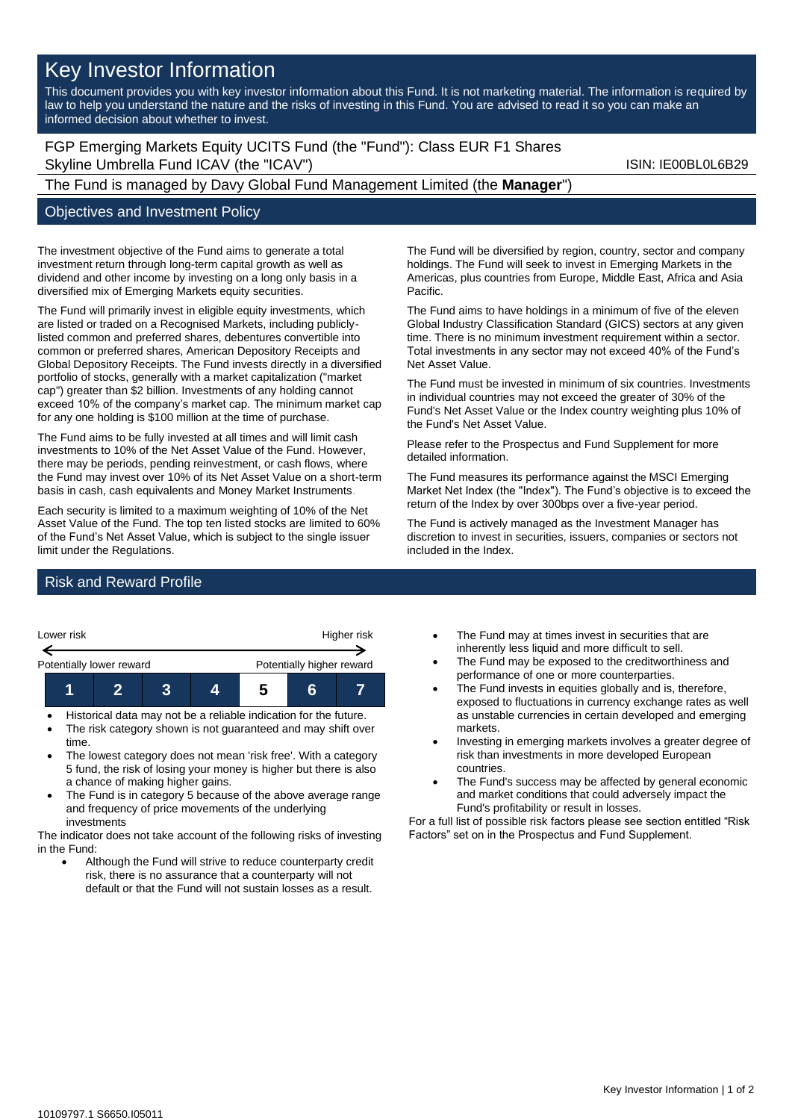# Key Investor Information

This document provides you with key investor information about this Fund. It is not marketing material. The information is required by law to help you understand the nature and the risks of investing in this Fund. You are advised to read it so you can make an informed decision about whether to invest.

FGP Emerging Markets Equity UCITS Fund (the "Fund"): Class EUR F1 Shares Skyline Umbrella Fund ICAV (the "ICAV") Skyline Umbrella Fund ICAV (the "ICAV")

The Fund is managed by Davy Global Fund Management Limited (the **Manager**")

# Objectives and Investment Policy

The investment objective of the Fund aims to generate a total investment return through long-term capital growth as well as dividend and other income by investing on a long only basis in a diversified mix of Emerging Markets equity securities.

The Fund will primarily invest in eligible equity investments, which are listed or traded on a Recognised Markets, including publiclylisted common and preferred shares, debentures convertible into common or preferred shares, American Depository Receipts and Global Depository Receipts. The Fund invests directly in a diversified portfolio of stocks, generally with a market capitalization ("market cap") greater than \$2 billion. Investments of any holding cannot exceed 10% of the company's market cap. The minimum market cap for any one holding is \$100 million at the time of purchase.

The Fund aims to be fully invested at all times and will limit cash investments to 10% of the Net Asset Value of the Fund. However, there may be periods, pending reinvestment, or cash flows, where the Fund may invest over 10% of its Net Asset Value on a short-term basis in cash, cash equivalents and Money Market Instruments.

Each security is limited to a maximum weighting of 10% of the Net Asset Value of the Fund. The top ten listed stocks are limited to 60% of the Fund's Net Asset Value, which is subject to the single issuer limit under the Regulations.

The Fund will be diversified by region, country, sector and company holdings. The Fund will seek to invest in Emerging Markets in the Americas, plus countries from Europe, Middle East, Africa and Asia Pacific.

The Fund aims to have holdings in a minimum of five of the eleven Global Industry Classification Standard (GICS) sectors at any given time. There is no minimum investment requirement within a sector. Total investments in any sector may not exceed 40% of the Fund's Net Asset Value.

The Fund must be invested in minimum of six countries. Investments in individual countries may not exceed the greater of 30% of the Fund's Net Asset Value or the Index country weighting plus 10% of the Fund's Net Asset Value.

Please refer to the Prospectus and Fund Supplement for more detailed information.

The Fund measures its performance against the MSCI Emerging Market Net Index (the "Index"). The Fund's objective is to exceed the return of the Index by over 300bps over a five-year period.

The Fund is actively managed as the Investment Manager has discretion to invest in securities, issuers, companies or sectors not included in the Index.

### Risk and Reward Profile



- The risk category shown is not guaranteed and may shift over time.
- The lowest category does not mean 'risk free'. With a category 5 fund, the risk of losing your money is higher but there is also a chance of making higher gains.
- The Fund is in category 5 because of the above average range and frequency of price movements of the underlying investments

The indicator does not take account of the following risks of investing in the Fund:

Although the Fund will strive to reduce counterparty credit risk, there is no assurance that a counterparty will not default or that the Fund will not sustain losses as a result.

- The Fund may at times invest in securities that are inherently less liquid and more difficult to sell.
- The Fund may be exposed to the creditworthiness and performance of one or more counterparties.
- The Fund invests in equities globally and is, therefore, exposed to fluctuations in currency exchange rates as well as unstable currencies in certain developed and emerging markets.
- Investing in emerging markets involves a greater degree of risk than investments in more developed European countries.
- The Fund's success may be affected by general economic and market conditions that could adversely impact the Fund's profitability or result in losses.

For a full list of possible risk factors please see section entitled "Risk Factors" set on in the Prospectus and Fund Supplement.